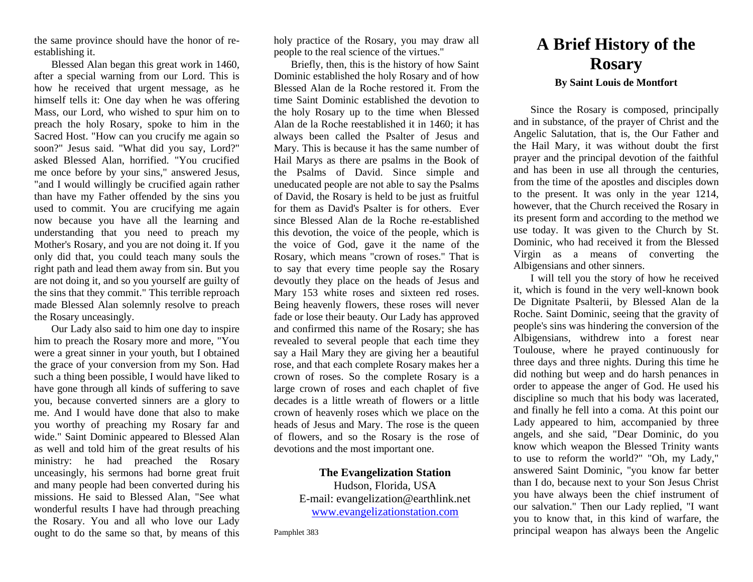the same province should have the honor of reestablishing it.

Blessed Alan began this great work in 1460, after a special warning from our Lord. This is how he received that urgent message, as he himself tells it: One day when he was offering Mass, our Lord, who wished to spur him on to preach the holy Rosary, spoke to him in the Sacred Host. "How can you crucify me again so soon?" Jesus said. "What did you say, Lord?" asked Blessed Alan, horrified. "You crucified me once before by your sins," answered Jesus, "and I would willingly be crucified again rather than have my Father offended by the sins you used to commit. You are crucifying me again now because you have all the learning and understanding that you need to preach my Mother's Rosary, and you are not doing it. If you only did that, you could teach many souls the right path and lead them away from sin. But you are not doing it, and so you yourself are guilty of the sins that they commit." This terrible reproach made Blessed Alan solemnly resolve to preach the Rosary unceasingly.

Our Lady also said to him one day to inspire him to preach the Rosary more and more, "You were a great sinner in your youth, but I obtained the grace of your conversion from my Son. Had such a thing been possible, I would have liked to have gone through all kinds of suffering to save you, because converted sinners are a glory to me. And I would have done that also to make you worthy of preaching my Rosary far and wide." Saint Dominic appeared to Blessed Alan as well and told him of the great results of his ministry: he had preached the Rosary unceasingly, his sermons had borne great fruit and many people had been converted during his missions. He said to Blessed Alan, "See what wonderful results I have had through preaching the Rosary. You and all who love our Lady ought to do the same so that, by means of this

holy practice of the Rosary, you may draw all people to the real science of the virtues."

Briefly, then, this is the history of how Saint Dominic established the holy Rosary and of how Blessed Alan de la Roche restored it. From the time Saint Dominic established the devotion to the holy Rosary up to the time when Blessed Alan de la Roche reestablished it in 1460; it has always been called the Psalter of Jesus and Mary. This is because it has the same number of Hail Marys as there are psalms in the Book of the Psalms of David. Since simple and uneducated people are not able to say the Psalms of David, the Rosary is held to be just as fruitful for them as David's Psalter is for others. Ever since Blessed Alan de la Roche re-established this devotion, the voice of the people, which is the voice of God, gave it the name of the Rosary, which means "crown of roses." That is to say that every time people say the Rosary devoutly they place on the heads of Jesus and Mary 153 white roses and sixteen red roses. Being heavenly flowers, these roses will never fade or lose their beauty. Our Lady has approved and confirmed this name of the Rosary; she has revealed to several people that each time they say a Hail Mary they are giving her a beautiful rose, and that each complete Rosary makes her a crown of roses. So the complete Rosary is a large crown of roses and each chaplet of five decades is a little wreath of flowers or a little crown of heavenly roses which we place on the heads of Jesus and Mary. The rose is the queen of flowers, and so the Rosary is the rose of devotions and the most important one.

> **The Evangelization Station**  Hudson, Florida, USA E-mail: evangelization@earthlink.net [www.evangelizationstation.com](http://www.pjpiisoe.org/)

## **A Brief History of the Rosary By Saint Louis de Montfort**

Since the Rosary is composed, principally and in substance, of the prayer of Christ and the Angelic Salutation, that is, the Our Father and the Hail Mary, it was without doubt the first prayer and the principal devotion of the faithful and has been in use all through the centuries, from the time of the apostles and disciples down to the present. It was only in the year 1214, however, that the Church received the Rosary in its present form and according to the method we use today. It was given to the Church by St. Dominic, who had received it from the Blessed Virgin as a means of converting the Albigensians and other sinners.

I will tell you the story of how he received it, which is found in the very well-known book De Dignitate Psalterii, by Blessed Alan de la Roche. Saint Dominic, seeing that the gravity of people's sins was hindering the conversion of the Albigensians, withdrew into a forest near Toulouse, where he prayed continuously for three days and three nights. During this time he did nothing but weep and do harsh penances in order to appease the anger of God. He used his discipline so much that his body was lacerated, and finally he fell into a coma. At this point our Lady appeared to him, accompanied by three angels, and she said, "Dear Dominic, do you know which weapon the Blessed Trinity wants to use to reform the world?" "Oh, my Lady," answered Saint Dominic, "you know far better than I do, because next to your Son Jesus Christ you have always been the chief instrument of our salvation." Then our Lady replied, "I want you to know that, in this kind of warfare, the principal weapon has always been the Angelic

Pamphlet 383